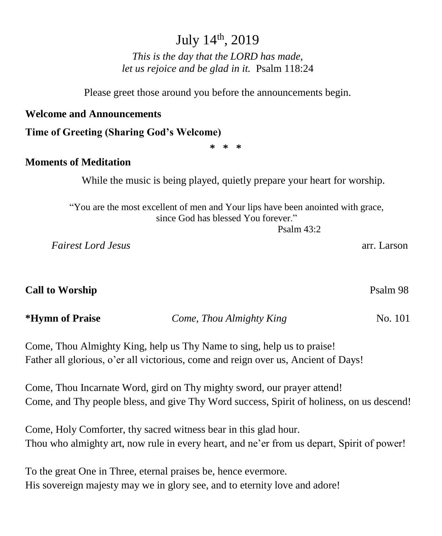## July 14th, 2019

*This is the day that the LORD has made, let us rejoice and be glad in it.* Psalm 118:24

Please greet those around you before the announcements begin.

#### **Welcome and Announcements**

**Time of Greeting (Sharing God's Welcome)**

**\* \* \***

#### **Moments of Meditation**

While the music is being played, quietly prepare your heart for worship.

"You are the most excellent of men and Your lips have been anointed with grace, since God has blessed You forever."

Psalm  $43.2$ 

 *Fairest Lord Jesus* arr. Larson

| <b>Call to Worship</b> | Psalm 98 |
|------------------------|----------|
|------------------------|----------|

**\*Hymn of Praise** *Come, Thou Almighty King* No. 101

Come, Thou Almighty King, help us Thy Name to sing, help us to praise! Father all glorious, o'er all victorious, come and reign over us, Ancient of Days!

Come, Thou Incarnate Word, gird on Thy mighty sword, our prayer attend! Come, and Thy people bless, and give Thy Word success, Spirit of holiness, on us descend!

Come, Holy Comforter, thy sacred witness bear in this glad hour. Thou who almighty art, now rule in every heart, and ne'er from us depart, Spirit of power!

To the great One in Three, eternal praises be, hence evermore. His sovereign majesty may we in glory see, and to eternity love and adore!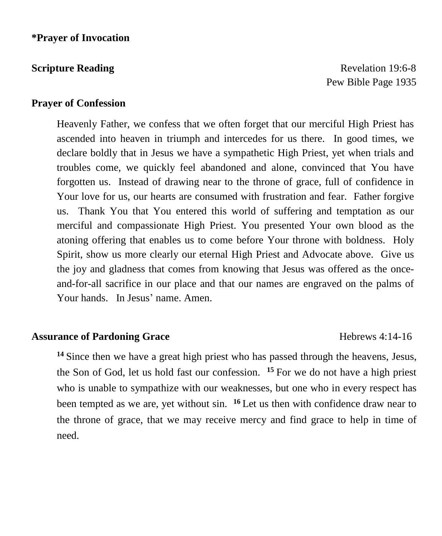**Scripture Reading Revelation 19:6-8 Revelation 19:6-8** Pew Bible Page 1935

#### **Prayer of Confession**

Heavenly Father, we confess that we often forget that our merciful High Priest has ascended into heaven in triumph and intercedes for us there. In good times, we declare boldly that in Jesus we have a sympathetic High Priest, yet when trials and troubles come, we quickly feel abandoned and alone, convinced that You have forgotten us. Instead of drawing near to the throne of grace, full of confidence in Your love for us, our hearts are consumed with frustration and fear. Father forgive us. Thank You that You entered this world of suffering and temptation as our merciful and compassionate High Priest. You presented Your own blood as the atoning offering that enables us to come before Your throne with boldness. Holy Spirit, show us more clearly our eternal High Priest and Advocate above. Give us the joy and gladness that comes from knowing that Jesus was offered as the onceand-for-all sacrifice in our place and that our names are engraved on the palms of Your hands. In Jesus' name. Amen.

#### **Assurance of Pardoning Grace** Hebrews 4:14-16

**<sup>14</sup>** Since then we have a great high priest who has passed through the heavens, Jesus, the Son of God, let us hold fast our confession. **<sup>15</sup>** For we do not have a high priest who is unable to sympathize with our weaknesses, but one who in every respect has been tempted as we are, yet without sin. **<sup>16</sup>** Let us then with confidence draw near to the throne of grace, that we may receive mercy and find grace to help in time of need.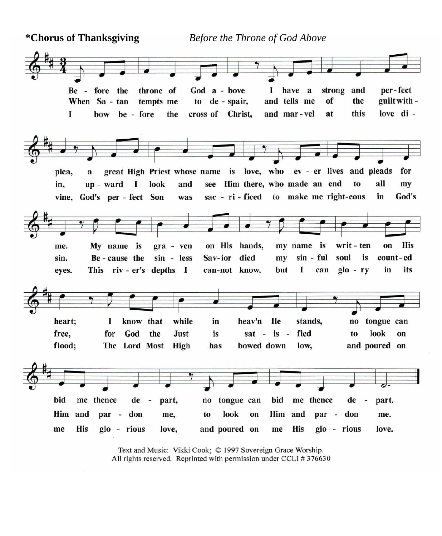**\*Chorus of Thanksgiving** *Before the Throne of God Above* 



Text and Music: Vikki Cook; © 1997 Sovereign Grace Worship. All rights reserved. Reprinted with permission under CCLI #376630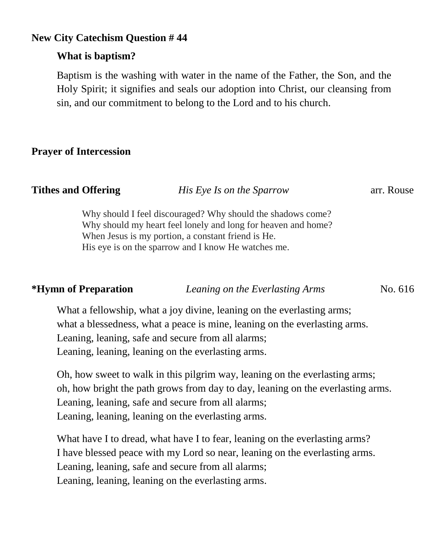### **New City Catechism Question # 44**

### **What is baptism?**

Baptism is the washing with water in the name of the Father, the Son, and the Holy Spirit; it signifies and seals our adoption into Christ, our cleansing from sin, and our commitment to belong to the Lord and to his church.

### **Prayer of Intercession**

| <b>Tithes and Offering</b> | His Eye Is on the Sparrow                                   | arr. Rouse |
|----------------------------|-------------------------------------------------------------|------------|
|                            | Why should I feel discouraged? Why should the shadows come? |            |

should I feel discouraged? Why should the shadows come? Why should my heart feel lonely and long for heaven and home? When Jesus is my portion, a constant friend is He. His eye is on the sparrow and I know He watches me.

**\*Hymn of Preparation** *Leaning on the Everlasting Arms* No. 616

What a fellowship, what a joy divine, leaning on the everlasting arms; what a blessedness, what a peace is mine, leaning on the everlasting arms. Leaning, leaning, safe and secure from all alarms; Leaning, leaning, leaning on the everlasting arms.

Oh, how sweet to walk in this pilgrim way, leaning on the everlasting arms; oh, how bright the path grows from day to day, leaning on the everlasting arms. Leaning, leaning, safe and secure from all alarms; Leaning, leaning, leaning on the everlasting arms.

What have I to dread, what have I to fear, leaning on the everlasting arms? I have blessed peace with my Lord so near, leaning on the everlasting arms. Leaning, leaning, safe and secure from all alarms; Leaning, leaning, leaning on the everlasting arms.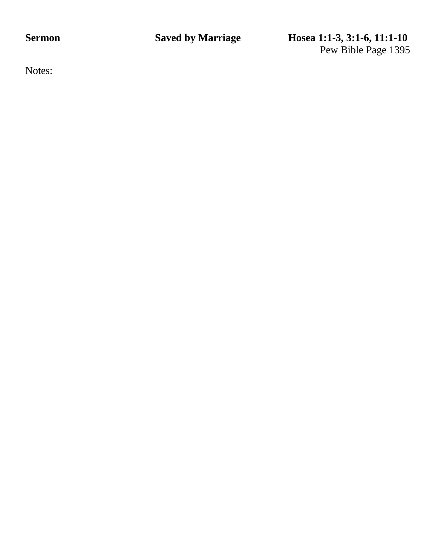**Sermon Saved by Marriage Hosea 1:1-3, 3:1-6, 11:1-10** Pew Bible Page 1395

Notes: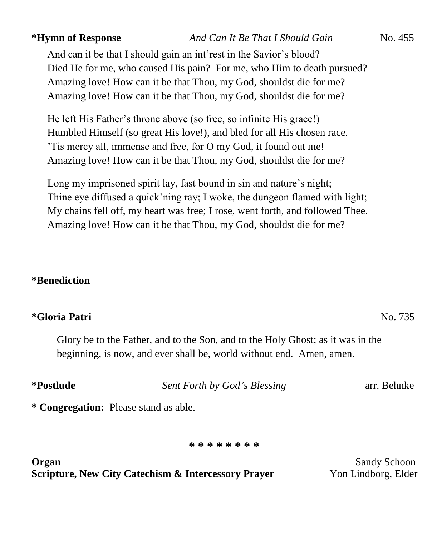And can it be that I should gain an int'rest in the Savior's blood? Died He for me, who caused His pain? For me, who Him to death pursued? Amazing love! How can it be that Thou, my God, shouldst die for me? Amazing love! How can it be that Thou, my God, shouldst die for me?

He left His Father's throne above (so free, so infinite His grace!) Humbled Himself (so great His love!), and bled for all His chosen race. 'Tis mercy all, immense and free, for O my God, it found out me! Amazing love! How can it be that Thou, my God, shouldst die for me?

Long my imprisoned spirit lay, fast bound in sin and nature's night; Thine eye diffused a quick'ning ray; I woke, the dungeon flamed with light; My chains fell off, my heart was free; I rose, went forth, and followed Thee. Amazing love! How can it be that Thou, my God, shouldst die for me?

### **\*Benediction**

#### **\*Gloria Patri** No. 735

Glory be to the Father, and to the Son, and to the Holy Ghost; as it was in the beginning, is now, and ever shall be, world without end. Amen, amen.

| <i>*Postlude</i> | Sent Forth by God's Blessing | arr. Behnke |
|------------------|------------------------------|-------------|
|                  |                              |             |

**\* Congregation:** Please stand as able.

**\* \* \* \* \* \* \* \***

**Organ** Sandy Schoon **Sandy Schoon Scripture, New City Catechism & Intercessory Prayer** Yon Lindborg, Elder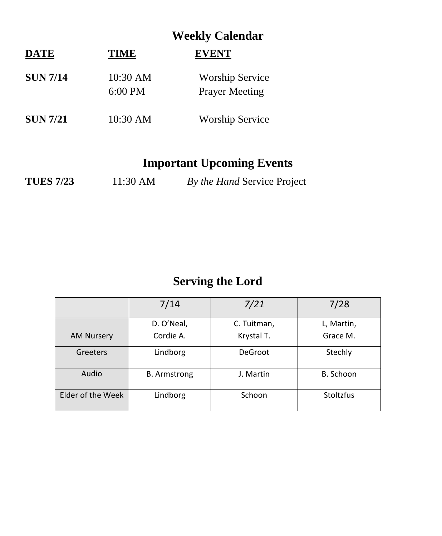|                 |                       | <b>Weekly Calendar</b>                          |  |
|-----------------|-----------------------|-------------------------------------------------|--|
| <b>DATE</b>     | <b>TIME</b>           | <b>EVENT</b>                                    |  |
| <b>SUN 7/14</b> | 10:30 AM<br>$6:00$ PM | <b>Worship Service</b><br><b>Prayer Meeting</b> |  |
| <b>SUN 7/21</b> | 10:30 AM              | <b>Worship Service</b>                          |  |

## **Important Upcoming Events**

| <b>TUES 7/23</b> | 11:30 AM | By the Hand Service Project |  |
|------------------|----------|-----------------------------|--|
|------------------|----------|-----------------------------|--|

# **Serving the Lord**

|                   | 7/14                | 7/21           | 7/28             |
|-------------------|---------------------|----------------|------------------|
|                   | D. O'Neal,          | C. Tuitman,    | L, Martin,       |
| <b>AM Nursery</b> | Cordie A.           | Krystal T.     | Grace M.         |
| Greeters          | Lindborg            | <b>DeGroot</b> | Stechly          |
| Audio             | <b>B.</b> Armstrong | J. Martin      | B. Schoon        |
| Elder of the Week | Lindborg            | Schoon         | <b>Stoltzfus</b> |